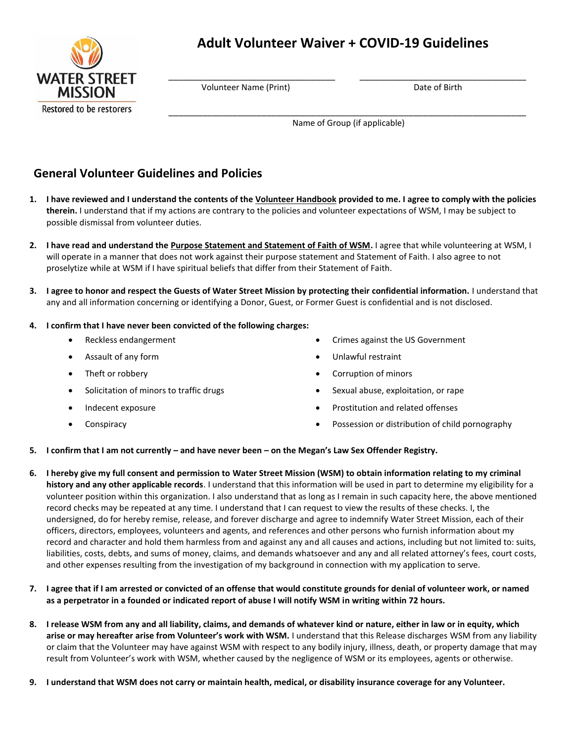

# **Adult Volunteer Waiver + COVID-19 Guidelines**

 $\overline{\phantom{a}}$  ,  $\overline{\phantom{a}}$  ,  $\overline{\phantom{a}}$  ,  $\overline{\phantom{a}}$  ,  $\overline{\phantom{a}}$  ,  $\overline{\phantom{a}}$  ,  $\overline{\phantom{a}}$  ,  $\overline{\phantom{a}}$  ,  $\overline{\phantom{a}}$  ,  $\overline{\phantom{a}}$  ,  $\overline{\phantom{a}}$  ,  $\overline{\phantom{a}}$  ,  $\overline{\phantom{a}}$  ,  $\overline{\phantom{a}}$  ,  $\overline{\phantom{a}}$  ,  $\overline{\phantom{a}}$ 

 $\mathcal{L} = \{ \mathcal{L}_1, \mathcal{L}_2, \ldots, \mathcal{L}_n, \mathcal{L}_n, \ldots, \mathcal{L}_n, \mathcal{L}_n, \mathcal{L}_n, \ldots, \mathcal{L}_n, \mathcal{L}_n, \mathcal{L}_n, \ldots, \mathcal{L}_n, \mathcal{L}_n, \mathcal{L}_n, \ldots, \mathcal{L}_n, \mathcal{L}_n, \mathcal{L}_n, \ldots, \mathcal{L}_n, \mathcal{L}_n, \ldots, \mathcal{L}_n, \mathcal{L}_n, \ldots, \mathcal{L}_n, \mathcal{L}_n, \ldots$ 

**Volunteer Name (Print)** Date of Birth

Name of Group (if applicable)

## **General Volunteer Guidelines and Policies**

- **1. I have reviewed and I understand the contents of the Volunteer Handbook provided to me. I agree to comply with the policies therein.** I understand that if my actions are contrary to the policies and volunteer expectations of WSM, I may be subject to possible dismissal from volunteer duties.
- **2. I have read and understand the [Purpose Statement and Statement of Faith of WSM.](https://wsm.volunteerhub.com/go/u/5br)** I agree that while volunteering at WSM, I will operate in a manner that does not work against their purpose statement and Statement of Faith. I also agree to not proselytize while at WSM if I have spiritual beliefs that differ from their Statement of Faith.
- **3. I agree to honor and respect the Guests of Water Street Mission by protecting their confidential information.** I understand that any and all information concerning or identifying a Donor, Guest, or Former Guest is confidential and is not disclosed.

#### **4. I confirm that I have never been convicted of the following charges:**

- 
- 
- 
- Solicitation of minors to traffic drugs **Solicity Contains to the Sexual abuse**, exploitation, or rape
- 
- 
- Reckless endangerment Crimes against the US Government
	- Assault of any form  $\bullet$  Unlawful restraint
- Theft or robbery **Corruption of minors Corruption of minors** 
	-
- Indecent exposure **Prostitution and related offenses •** Prostitution and related offenses
- Conspiracy Possession or distribution of child pornography
- **5. I confirm that I am not currently – and have never been – on the Megan's Law Sex Offender Registry.**
- **6. I hereby give my full consent and permission to Water Street Mission (WSM) to obtain information relating to my criminal history and any other applicable records**. I understand that this information will be used in part to determine my eligibility for a volunteer position within this organization. I also understand that as long as I remain in such capacity here, the above mentioned record checks may be repeated at any time. I understand that I can request to view the results of these checks. I, the undersigned, do for hereby remise, release, and forever discharge and agree to indemnify Water Street Mission, each of their officers, directors, employees, volunteers and agents, and references and other persons who furnish information about my record and character and hold them harmless from and against any and all causes and actions, including but not limited to: suits, liabilities, costs, debts, and sums of money, claims, and demands whatsoever and any and all related attorney's fees, court costs, and other expenses resulting from the investigation of my background in connection with my application to serve.
- **7. I agree that if I am arrested or convicted of an offense that would constitute grounds for denial of volunteer work, or named as a perpetrator in a founded or indicated report of abuse I will notify WSM in writing within 72 hours.**
- **8. I release WSM from any and all liability, claims, and demands of whatever kind or nature, either in law or in equity, which arise or may hereafter arise from Volunteer's work with WSM.** I understand that this Release discharges WSM from any liability or claim that the Volunteer may have against WSM with respect to any bodily injury, illness, death, or property damage that may result from Volunteer's work with WSM, whether caused by the negligence of WSM or its employees, agents or otherwise.
- **9. I understand that WSM does not carry or maintain health, medical, or disability insurance coverage for any Volunteer.**